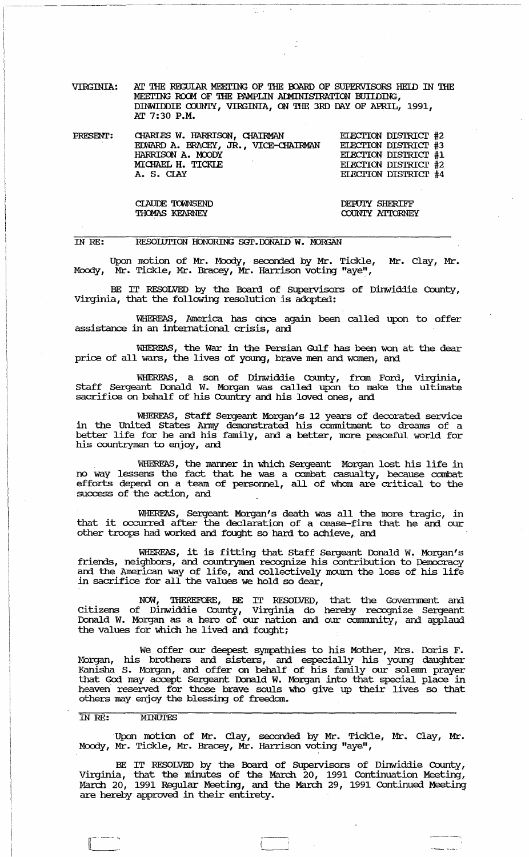AT THE REGULAR MEETING OF THE BOARD OF SUPERVISORS HELD IN THE VIRGINIA: MEETING ROOM OF THE PAMPLIN ADMINISTRATION BUILDING, DINWIDDIE COUNTY, VIRGINIA, ON THE 3RD DAY OF APRIL, 1991, AT 7:30 P.M.

PRESENT: CHARLES W. HARRISON, CHAIRMAN ELECTION DISTRICT #2 EDWARD A. BRACEY, JR., VICE-CHAIRMAN<br>HARRISON A. MOODY ELECTION DISTRICT #3<br>ELECTION DISTRICT #1 MICHAEL H. TICKLE ELECTION DISTRICT #2 A. S. CIAY ELECTION DISTRICT #4 DEPUTY SHERIFF

CIAUDE TOWNSEND THOMAS KEARNEY

COUNTY ATTORNEY

RESOLUTION HONORING SGT. DONALD W. MORGAN IN RE:

Upon motion of Mr. Moody, seconded by Mr. Tickle, Mr. Clay, Mr. Moody, Mr. Tickle, Mr. Bracey, Mr. Harrison voting "aye",

BE IT RESOLVED by the Board of Supervisors of Dinwiddie County, Virginia, that the following resolution is adopted:

WHEREAS, America has once again been called upon to offer assistance in an international crisis, and

WHEREAS, the War in the Persian Gulf has been won at the dear price of all wars, the lives of young, brave men and women, and

WHEREAS, a son of Dinwiddie County, from Ford, Virginia, Staff Sergeant Donald W. Morgan was called upon to make the ultimate sacrifice on behalf of his Country and his loved ones, and

WHEREAS, Staff Sergeant Morgan's 12 years of decorated service in the United States Army demonstrated his commitment to dreams of a better life for he and his family, and a better, more peaceful world for his countrymen to enjoy, and

WHEREAS, the manner in which Sergeant Morgan lost his life in no way lessens the fact that he was a combat casualty, because combat efforts depend on a team of personnel, all of whom are critical to the success of the action, and

WHEREAS, Sergeant Morgan's death was all the more tragic, in<br>that it occurred after the declaration of a cease-fire that he and our other troops had worked and fought so hard to achieve, and

WHEREAS, it is fitting that Staff Sergeant Donald W. Morgan's friends, neighbors, and countrymen recognize his contribution to Democracy and the American way of life, and collectively mourn the loss of his life in sacrifice for all the values we hold so dear,

NOW, THEREFORE, BE IT RESOLVED, that the Government and<br>Citizens of Dinwiddie County, Virginia do hereby recognize Sergeant<br>Donald W. Morgan as a hero of our nation and our community, and applaud the values for which he lived and fought;

We offer our deepest sympathies to his Mother, Mrs. Doris F.<br>Morgan, his brothers and sisters, and especially his young daughter Kanisha S. Morgan, and offer on behalf of his family our solemn prayer<br>that God may accept Sergeant Donald W. Morgan into that special place in<br>heaven reserved for those brave souls who give up their lives so that others may enjoy the blessing of freedom.

#### IN RE: **MINUTES**

Upon motion of Mr. Clay, seconded by Mr. Tickle, Mr. Clay, Mr. Moody, Mr. Tickle, Mr. Bracey, Mr. Harrison voting "aye",

BE IT RESOLVED by the Board of Supervisors of Dinwiddie County,<br>Virginia, that the minutes of the March 20, 1991 Continuation Meeting,<br>March 20, 1991 Regular Meeting, and the March 29, 1991 Continued Meeting are hereby approved in their entirety.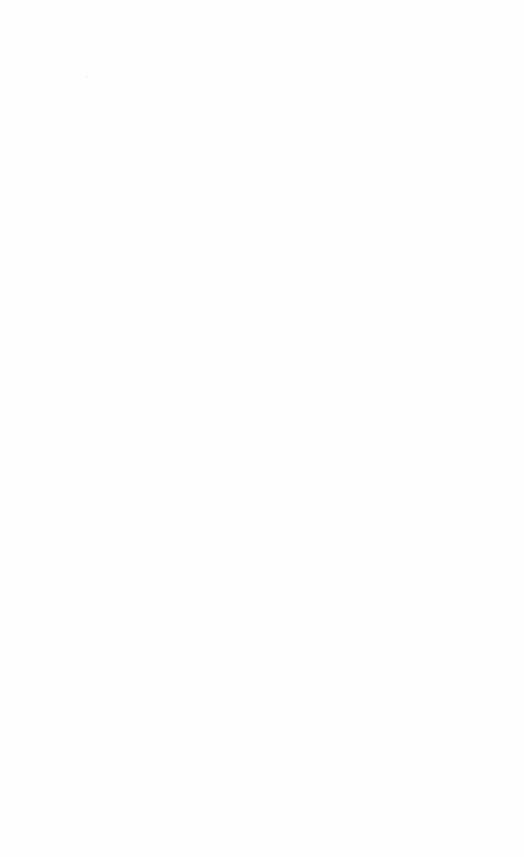$\label{eq:2.1} \frac{1}{\sqrt{2}}\int_{\mathbb{R}^3}\frac{1}{\sqrt{2}}\left(\frac{1}{\sqrt{2}}\right)^2\frac{1}{\sqrt{2}}\left(\frac{1}{\sqrt{2}}\right)^2\frac{1}{\sqrt{2}}\left(\frac{1}{\sqrt{2}}\right)^2\frac{1}{\sqrt{2}}\left(\frac{1}{\sqrt{2}}\right)^2.$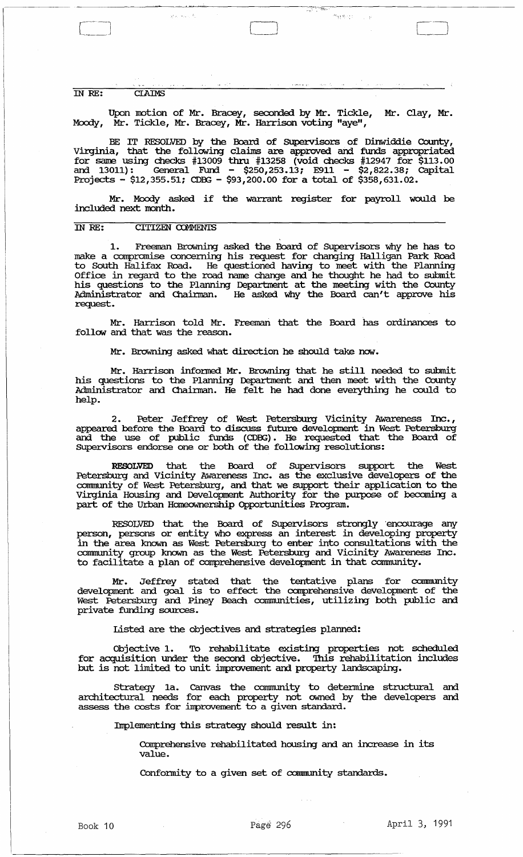#### IN RE: CLAIMS

 $\hat{g}_{\rm max} = \hat{g}_{\rm max} = \hat{h}_{\rm in}$ 

Upon motion of Mr. Bracey, seconded by Mr. Tickle, Mr. Clay, Mr. Moody, Mr. Tickle, Mr. Bracey, Mr. Harrison voting "aye",

CJ

<sup>26</sup>158-101 - 1018

**Contract Contract Contract Contract Contract Contract Contract Contract Contract Contract Contract Contract Co** 

BE IT RESOLVED by the Board of SUpervisors of Dinwiddie County, Virginia, that the following claims are approved and funds appropriated for same using checks #13009 thru #13258 (void checks #12947 for \$113.00 and 13011): General Fund - \$250,253.13; E911 - \$2,822.38; Capital Projects - \$12,355.51; CDBG - \$93,200.00 for a total of \$358,631.02.

Mr. Moody asked if the warrant register for payroll would be included next month.

#### **CITIZEN COMMENTS** IN RE:

1. Freeman Browning asked the Board of SUpervisors why he has to make a compromise concerning his request for changing Halligan Park Road to South Halifax Road. He questioned having to meet with the Planning Office in regard to the road name change and he thought he had to submit his questions to the Planning Department at the meeting with the County Administrator and Chainnan. He asked why the Board can't approve his request.

Mr. Harrison told Mr. Freemari that the Board has ordinances to follow and that was the reason.

Mr. Browning asked what direction he should take now.

Mr. Harrison infonned Mr. Browning that he still needed to submit his questions to the Planning Department and then meet with the County Administrator and Chainnan. He felt he had done everything he could to help.

2. Peter Jeffrey of West Petersburg Vicinity Awareness Inc., appeared before the Board to discuss future development in West Petersburg and the use of public funds (CDBG). He requested that the Board of SUpervisors endorse one or both of the following resolutions:

RESOLVED that the Board of SUpervisors support the West Petersbmg and Vicinity Awareness Inc. as the exclusive developers of the community of West Petersburg, and that we support their application to the Virginia Housing and Development Authority for the purpose of becoming a part of the Urban Homeownership Opportunities Program.

RESOLVED that the Board of Supervisors strongly encourage any person, persons or entity who express an interest in developing property in the area knovm as West Petersbmg to enter into consultations with the conum.mity group knovm as the West Petersbmg and Vicinity Awareness Inc. to facilitate a plan of comprehensive development in that community.

Mr. Jeffrey stated that the tentative plans for community development and goal is to effect the comprehensive development of the West Petersburg and Piney Beach communities, utilizing both public and private funding sources.

Listed are the objectives and strategies planned:

Objective 1. To rehabilitate existing properties not scheduled for acquisition under the second objective. This rehabilitation includes but is not limited to unit improvement and property landscaping.

strategy 1a. canvas the community to detennine structural and architectural needs for each property not ovmed by the developers and assess the costs for improvement to a given standard.

Implementing this strategy should result in:

Comprehensive rehabilitated housing and an increase in its value.

 $\sim 20$ 

Confonnity to a given set of community standards.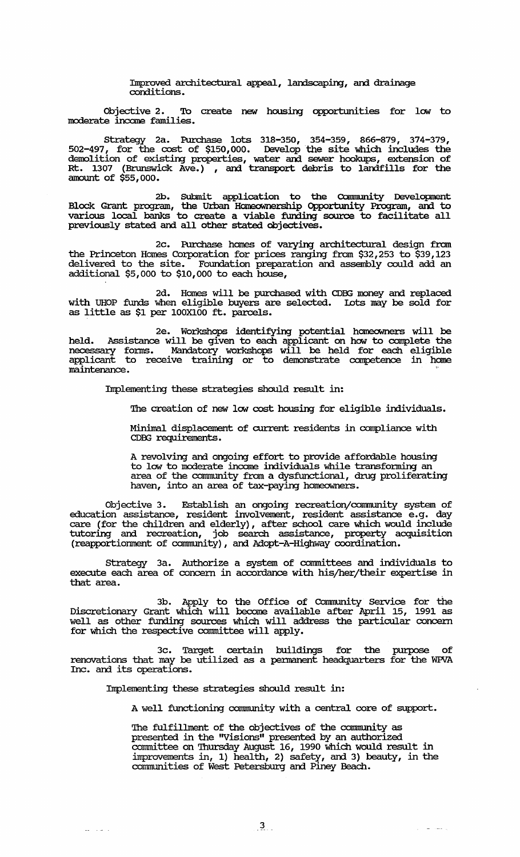Improved architectural appeal, landscaping, and drainage conditions.

Objective 2. To create new housing opportunities for low to moderate income families.

strategy 2a. Purchase lots 318-350, 354-359, 866-879, 374-379, 502-497, for the cost of \$150,000. Develop the site which includes the demolition of existing properties, water and sewer hookups, extension of Rt. 1307 (Brunswick Ave.), and transport debris to landfills for the amount of \$55,000.

2b. SUbmit application to the Cormmmity Development Block Grant program, the Urban Hameownership Opportunity Program, am to various local banks to create a viable funding source to facilitate all previously stated arxl all other stated objectives.

2c. Purchase homes of varying architectural design from the Princeton Homes Corporation for prices ranging from \$32,253 to \$39,123 delivered to the site. Foundation preparation and assembly could add an additional \$5,000 to \$10,000 to each house,

2d. Homes will be purchased with CDBG money and replaced with UHOP funds when eligible buyers are selected. lots may be sold for as little as \$1 per 100X100 ft. parcels.

2e. Workshops identifying potential homeowners will be held. Assistance will be given to each applicant on how to complete the necessary foms. Mandatory workshops will be held for each eligible applicant to receive training or to demonstrate competence in home maintenance.

Implementing these strategies should result in:

The creation of new low cost housing for eligible individuals.

Minimal displacement of current residents in compliance with CDBG requirements.

A revolving and ongoing effort to provide affordable housing to low to moderate income individuals while transforming an area of the community from a dysfunctional, drug proliferating haven, into an area of tax-paying homeowners.

Objective 3. Establish an ongoing recreation/community system of education assistance, resident involvement, resident assistance e.g. day care (for the children and elderly), after school care which would include tutoring and recreation, job search assistance, property acquisition (reapportionment of community), and Adopt-A-Highway coordination.

Strategy 3a. Authorize a system of committees and individuals to execute each area of concern in accordance with his/her/their expertise in that area.

3b. Apply to the Office of Conununity Service for the Discretionary Grant which will became available after April 15, 1991 as well as other funding sources which will address the particular concern for which the respective committee will apply.

3c. Target certain buildings for the purpose of renovations that may be utilized as a pennanent headquarters for the WPVA Inc. and its operations.

Implementing these strategies should result in:

A well functioning community with a central core of support.

The fulfillment of the objectives of the community as presented in the "Visions" presented by an authorized committee on '!hursday August 16, 1990 which would result in inprovements in, 1) health, 2) safety, arxl 3) beauty, in the comrm.mities of West Petersburg and Piney Beach.

 $\hat{u}^{(1)} = \hat{u}^{(2)} + \hat{u}^{(3)}$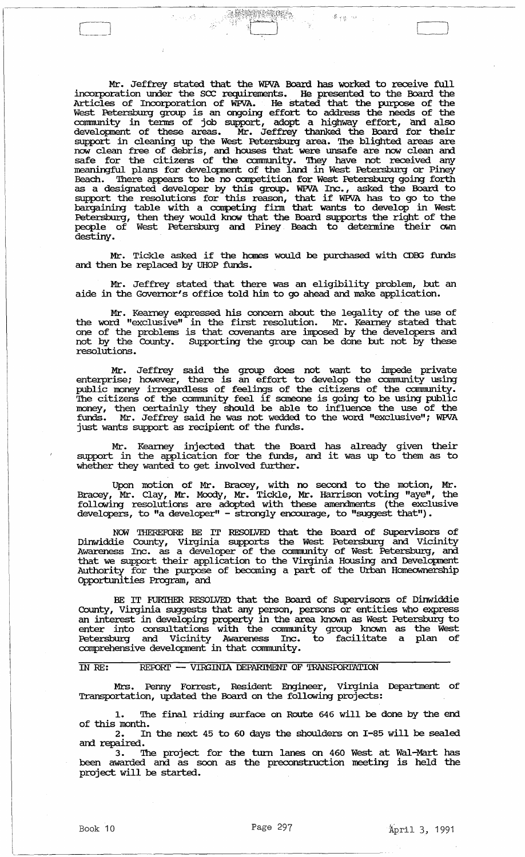Mr. Jeffrey stated that the WPVA Board has worked to receive full incorporation under the SCC requirements. He presented to the Board the Articles of Incorporation of WPVA. He Stated that the purpose of the West Petersburg group is an ongoing effort to address the needs of the community in tems of job support, adopt a highway effort, ani also development of these areas. Mr. Jeffrey thanked the Board for their support in cleaning up the West Petersburg area. '!he blighted areas are now clean free of debris, and houses that were unsafe are now clean and safe for the citizens of the community. They have not received any meaningful plans for development of the land in West Petersburg or Piney Beach. There appears to be no competition for West Petersburg going forth as a designated developer by this group. WPVA Inc., asked the Board to support the resolutions for this reason, that if WPVA has to go to the bargaining table with a competing firm that wants to develop in West Petersburg, then they would know that the Board supports the right of the people of West Petersburg and Piney. Beach to detennine their aovn destiny.

Composition

Mr. Tickle asked if the homes would be purchased with CDBG funds and then be replaced by UHOP funds.

Mr. Jeffrey stated that there was an eligibility problem, but an aide in the Governor's office told him to go ahead and make application.

Mr. Kearney expressed his concern about the legality of the use of the word. "exclusive" in the first resolution. Mr. Kearney stated that one of the problems is that covenants are imposed by the developers and not by the County. Supporting the group can be done but not by these resolutions.

Mr. Jeffrey said the group does not want to impede private enterprise; however, there is an effort to develop the community using public money irregardless of feelings of the citizens of the community. public money integardness of reefings of the citizens of the community.<br>The citizens of the community feel if someone is going to be using public money, then certainly they should be able to influence the use of the funds. Mr. Jeffrey said he was not wedded to the word. "exclusive"; WPVA just wants support as recipient of the funds.

Mr. Kearney injected that the Board. has already given their support in the application for the funds, and it was up to them as to whether they wanted to get involved further.

Upon motion of Mr. Bracey, with no second to the motion, Mr. Bracey, Mr. Clay, Mr. Moody, Mr. Tickle, Mr. Harrison voting "aye", the following resolutions are adopted with these amendments (the exclusive developers, to "a developer" - strongly encourage, to "suggest that") .

NOW THEREFORE BE IT RESOLVED that the Board of Supervisors of Dinwiddie County, Virginia supports the West Petersburg and Vicinity Awareness Inc. as a developer of the community of West Petersburg, and that we support their application to the Virginia Housing and Development Authority for the purpose of becoming a part of the Urban Homeownership Opportunities Program, and

BE IT FURIHER RESOLVED that the Board of SUpervisors of Dinwiddie County, Virginia suggests that any person, persons or entities who express an interest in developing property in the area known as West Petersburg to enter into consultations with the community group knaovn as the West Petersburg and Vicinity Awareness Inc. to facilitate a plan of comprehensive development in that community.

#### IN RE: REPORT -- VIRGINIA DEPARIMENT OF TRANSPORTATION

Mrs. Penny Forrest, Resident Engineer, Virginia Department of Transportation, updated the Board on the following projects:

1. The final riding surface on Route 646 will be done by the end of this month.

2. In the next 45 to 60 days the shoulders on I-85 will be sealed and repaired.

3. '!he project for the tum lanes on 460 West at Wal-Mart has been awarded and as soon as the preconstruction meeting is held the project will be started.

 $\Box$ 

鼻子垫 化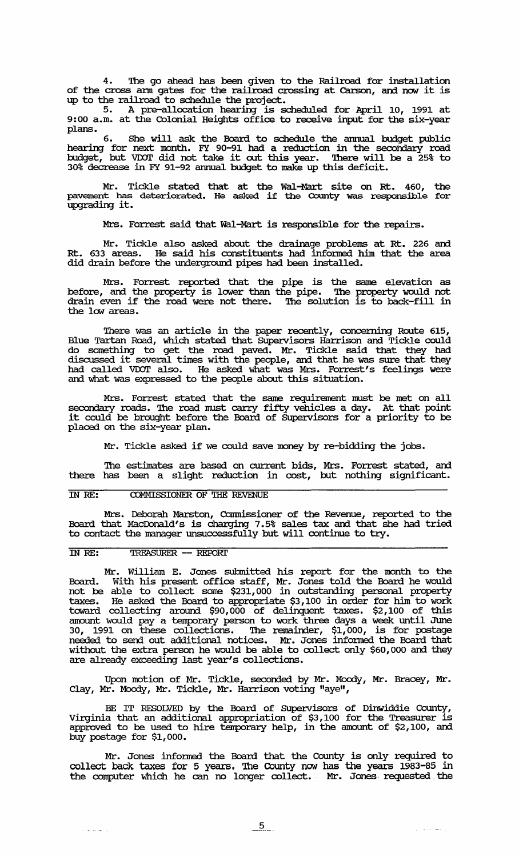4. The go ahead has been given to the Railroad for installation of the cross arm gates for the railroad crossing at Carson, and now it is up to the railroad to schedule the project.

5. A pre-allocation hearing is scheduled for April 10, 1991 at 9:00 a.m. at the Colonial Heights office to receive input for the six-year plans.

6. She will ask the Board to schedule the annual budget public hearing for next month. FY 90-91 had a reduction in the secondary road budget, but VDOT did not take it out this year. There will be a 25% to 30% decrease in FY 91-92 armual budget to make up this deficit.

Mr. Tickle stated that at the Wal-Mart site on Rt. 460, the pavement has deteriorated. He asked if the County was responsible for upgrading it.

Mrs. Forrest said that Wal-Mart is responsible for the repairs.

Mr. Tickle also asked about the drainage problems at Rt. 226 and Rt. 633 areas. He said his constituents had infonned him that the area did drain before the underground pipes had been installed.

Mrs. Forrest reported that the pipe is the same elevation as before, am. the property is lower than the pipe. ihe property would not drain even if the road were not there. '!he solution is to back-fill in the low areas.

There was an article in the paper recently, concerning Route 615, Blue Tartan Road, which stated that Supervisors Harrison and Tickle could do something to get the road paved. Mr. Tickle said that they had discussed it several times with the people, and that he was sure that they had called VDOT also. He asked what was Mrs. Forrest's feelings were and what was expressed to the people about this situation.

Mrs. Forrest stated that the same requirement must be met on all secondary roads. The road must carry fifty vehicles a day. At that point it could be brought before the Board of Supervisors for a priority to be placed on the six-year plan.

Mr. Tickle asked if we could save money by re-bidding the jobs.

The estimates are based on current bids, Mrs. Forrest stated, and there has been a slight reduction in cost, but nothing significant.

#### IN RE: COMMISSIONER OF THE REVENUE

Mrs. Deborah Marston, Commissioner of the Revenue, reported to the Board that MacDonald's is charging 7.5% sales tax and that she had tried to contact the manager unsuccessfully but will continue to try.

#### IN RE: TREASURER - REroRI'

الأراضا للأرض

Mr. William E. Jones submitted his report for the month to the Board. With his present office staff, Mr. Jones told the Board he would not be able to collect some \$231,000 in outstanding personal property taxes. He asked the Board to appropriate \$3,100 in order for him to work toward collecting around \$90,000 of delinquent taxes. \$2,100 of this amount would pay a temporary person to work three days a week until June 30, 1991 on these collections. '!he remainder, \$1,000, is for postage needed to send out additional notices. Mr. Jones infonned the Board that without the extra person he would be able to collect only \$60,000 and they are already exceeding last year's collections.

Upon motion of Mr. Tickle, seconded by Mr. Moody, Mr. Bracey, Mr. Clay, Mr. Moody, Mr. Tickle, Mr. Harrison voting "aye",

BE IT RESOLVED by the Board of SUpervisors of Dinwiddie County, Virginia that an additional appropriation of  $$3,100$  for the Treasurer is approved to be used to hire temporary help, in the amount of \$2,100, and. buy postage for \$1,000.

Mr. Jones infonned the Board that the County is only required to collect back taxes for 5 years. The County now has the years 1983-85 in the computer which he can no longer collect. Mr. Jones requested the

الوافقا فتعالى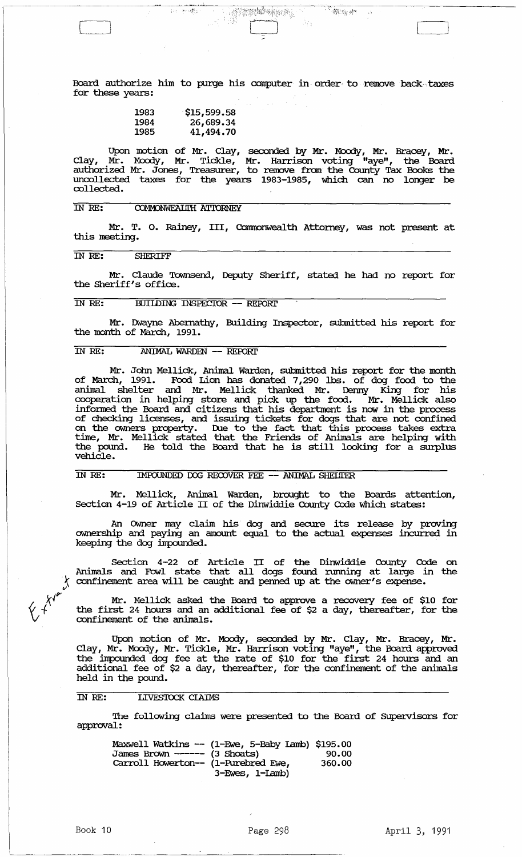Board authorize him to purge his computer in order to remove back-taxes for these years:

 $\begin{array}{|c|c|c|c|c|}\hline \quad \quad & \quad \quad & \quad \quad & \quad \quad \\ \hline \quad \quad & \quad \quad & \quad \quad & \quad \quad \\ \hline \end{array}$ 

一體會學

| 1983 | \$15,599.58 |
|------|-------------|
| 1984 | 26,689.34   |
| 1985 | 41,494.70   |

C\_J <sup>~</sup>.; .. ~:.'.r) ;~~/:y:~.Jrri~~'-'i~:-~'~j::~ ·:f~{f:: "~"

Upon motion of Mr. Clay, seconded by Mr. Moody, Mr. Bracey, Mr. Clay, Mr. Moody, Mr. Tickle, Mr. Harrison voting "aye" , the Board authorized Mr. Jones, Treasurer, to remove from the County Tax Books the uncollected taxes for the years 1983-1985, which can no longer be collected.

### IN RE: COMMONWEALITH ATTORNEY

Mr. T. O. Rainey, III, Commonwealth Attorney, was not present at this meeting.

#### m RE: SHERIFF

Mr. Claude Townsend, Deputy Sheriff, stated he had no report for the Sheriff's office.

# $\begin{tabular}{ll} \hline \textbf{IN RE:} & \textbf{BUTIONG INSPECIOR} \textcolor{red}{\boldsymbol{--} REPORT} \end{tabular}$

Mr. Dwayne Abernathy, Building Inspector, submitted his report for the month of March, 1991.

# IN RE: ANIMAL WARDEN -- REPORT

Mr. Jolm Mellick, Animal Warden, submitted his report for the month of March, 1991. Food Lion has donated 7,290 lbs. of dog food to the animal shelter and Mr. Mellick thanked Mr. Denny King for his cooperation in helping store and pick up the food. Mr. Mellick also informed the Board and citizens that his department is now in the process of checking licenses, and issuing tickets for dogs that are not confined on the owners property. n.te to the fact that this process takes extra time, Mr. Mellick stated that the Friends of Animals are helping with the pound. He told the Board that he is still looking for a surplus vehicle.

# IN RE: IMPOUNDED DOG RECOVER FEE -- ANIMAL SHEIJTER

Mr. Mellick, Animal Warden, brought to the Boards attention, Section 4-19 of Article II of the Dinwiddie County Code which states:

An OWner may claim his dog and secure its release by proving ownership and paying an amount equal to the actual expenses incurred in keeping the dog impounded.

Section 4-22 of Article II of the Dinwiddie County Code on Animals and Fowl state that all dogs found running at large in the confinement area will be caught and penned up at the owner's expense.

Mr. Mellick asked the Board to approve a recovery fee of \$10 for the first 24 hours and an additional fee of \$2 a day, thereafter, for the confinement of the animals.

Upon motion of Mr. Moody, seconded by Mr. Clay, Mr. Bracey, Mr. Clay, Mr. Moody, Mr. Tickle, Mr. Harrison voting "aye", the Board approved the impounded dog fee at the rate of \$10 for the first 24 hours and an additional fee of \$2 a day, thereafter, for the confinement of the animals held in the pound.

## IN RE: LIVESTOCK CIAIMS

The following claims were presented to the Board of Supervisors for approval:

Maxwell Watkins --<br>James Brown ------<br>Carroll Howerton--(I-Ewe, 5-Baby Lamb) (3 Shoats) (I-Purebred Ewe, 3-Ewes, I-Lamb) \$195.00 90.00 360.00

 $x^{\prime}$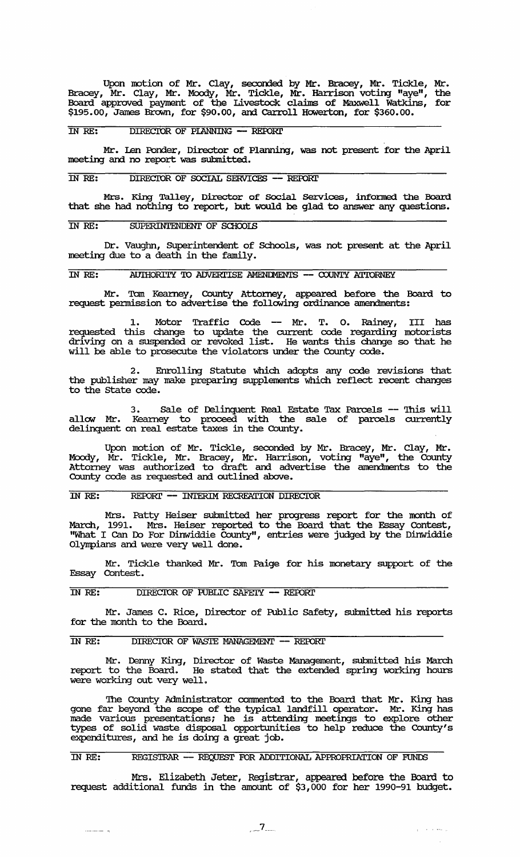Upon motion of Mr. Clay, seconded by Mr. Bracey, Mr. Tickle, Mr. Bracey, Mr. Clay, Mr. Moody, Mr. Tickle, Mr. Harrison voting "aye", the Board approved payment of the Livestock claims of Maxwell Watkins, for  $\frac{1}{2}$   $\frac{1}{2}$   $\frac{1}{2}$   $\frac{1}{2}$   $\frac{1}{2}$   $\frac{1}{2}$   $\frac{1}{2}$   $\frac{1}{2}$   $\frac{1}{2}$   $\frac{1}{2}$   $\frac{1}{2}$   $\frac{1}{2}$   $\frac{1}{2}$   $\frac{1}{2}$   $\frac{1}{2}$   $\frac{1}{2}$   $\frac{1}{2}$   $\frac{1}{2}$   $\frac{1}{2}$   $\frac{1}{2}$   $\frac{1}{2}$   $\frac{1}{2}$ 

#### IN RE: DIRECTOR OF PIANNING -- REPORT

Mr. len Ponder, Director of Planning, was not present for the April meeting and no report was submitted.

### IN *RE:* DIRECroR OF SOCIAL SERVICES - REroRl'

Mrs. King Talley, Director of SOCial Services, infonned the Board that she had nothing to report, but would be glad to answer any questions.

## IN RE: SUPERINTENDENT OF SCHOOIS

Dr. Vaughn, SUperintendent of Schools, was not present at the April meeting due to a death in the family.

#### IN RE: AUIHORITY TO ADVERTISE AMENDMENTS -- COUNTY ATTORNEY

Mr. Tom Kearney, County Attorney, appeared before the Board to request permission to advertise the following ordinance amendments:

1. Motor Traffic Code - Mr. T. O. Rainey, III has requested this change to update the current code regarding motorists driving on a suspended or revoked list. He wants this change so that he will be able to prosecute the violators under the County code.

2. Enrolling statute which. adopts any code revisions that the publisher may make preparing supplements which. reflect recent changes to the state code.

3. Sale of Delinquent Real Estate Tax Parcels - This will allow Mr. Kearney to proceed with the sale of parcels currently delinquent on real estate taxes in the County.

Upon motion of Mr. Tickle, seconded by Mr. Bracey, Mr. Clay, Mr. Moody, Mr. Tickle, Mr. Bracey, Mr. Harrison, voting "aye", the County Attorney was authorized to draft and advertise the amendments to the County code as requested and outlined above.

### IN RE: REPORT -- INTERIM RECREATION DIRECTOR

Mrs. Patty Heiser submitted her progress report for the month of March, 1991. Mrs. Heiser reported to the Board that the Essay Contest, ''What I can Do For Dinwiddie County", entries were judged by the Dinwiddie Olympians and were very well done.

Mr. Tickle thanked Mr. Tom Paige for his monetary support of the Essay Contest.

## IN RE: DIRECTOR OF PUBLIC SAFETY - REPORT

Mr. James C. Rice, Director of Public Safety, submitted his reports for the month to the Board.

## IN RE: DIRECTOR OF WASTE MANAGEMENT -- REPORT

والمستحدث

Mr. Denny King, Director of Waste Management, submitted his March report to the Board. He stated that the extended spring working hours were working out very well.

The County Administrator commented to the Board that Mr. King has gone far beyond the scope of the typical landfill operator. Mr. King has made various presentations; he is attending meetings to explore other types of solid waste disposal opportunities to help reduce the County's expenditures, and he is doing a great job.

## IN RE: REGISTRAR -- REQUEST FOR ADDITIONAL APPROPRIATION OF FUNDS

Mrs. Elizabeth Jeter, Registrar, appeared before the Board to request additional funds in the amount of \$3,000 for her 1990-91 budget.

لينتقض والمرابي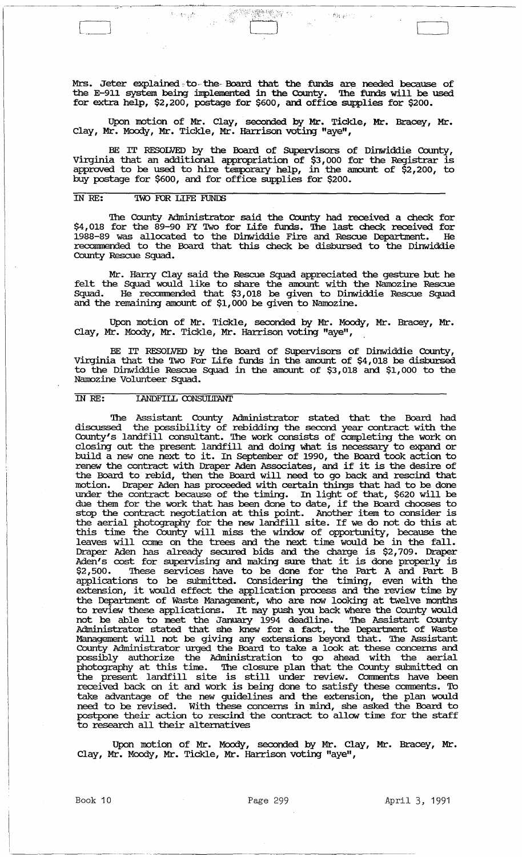Mrs. Jeter explained to the Board that the funds are needed because of the E-911 system being implemented in the County. The funds will be used for extra help, \$2,200, postage for \$600, ani office supplies for \$200.

'. ,... , ... , ... , ... , ... , ... , ... , ... , ... , ... , ... , ... , ... , ... , ... , ... , ... , ... , .<br>. , ... , ... , ... , ... , ... , ... , ... , ... , ... , ... , ... , ... , ... , ... , ... , ... , ... , ..  $\begin{bmatrix} 1 & 0 & 0 \\ 0 & 0 & 0 \end{bmatrix}$  , which is a set of  $\begin{bmatrix} 1 & 0 \\ 0 & 0 \end{bmatrix}$  , where  $\begin{bmatrix} 1 & 0 \\ 0 & 0 \end{bmatrix}$ 

Upon motion of Mr. Clay, seconded by Mr. Tickle, Mr. Bracey, Mr. Clay, Mr. Moody, Mr. Tickle, Mr. Harrison voting "aye",

BE IT RESOLVED by the Board of Supervisors of Dinwiddie County, virginia that an additional appropriation of \$3,000 for the Registrar is approved to be used to hire temporary help, in the amount of  $\zeta_{2,200}$ , to buy postage for \$600, ani for office supplies for \$200.

## IN RE: 'WO FOR LIFE FUNDS

The County Administrator said the County had received a check for \$4,018 for the 89-90 FY Two for Life funds. The last check received for 1988-89 was allocated to the Dinwiddie Fire ani Rescue Deparbnent. He recanunended to the Board that this check be disbursed to the Dinwiddie County Rescue Squad.

Mr. Harry Clay said the Rescue Squad appreciated the gesture but he felt the Squad would like to share the amount with the Namozine Rescue Squad. He recormnended that \$3,018 be given to Dinwiddie Rescue Squad and the remaining amount of \$1,000 be given to Namozine.

Upon motion of Mr. Tickle, seconded by Mr. Moody, Mr. Bracey, Mr. Clay, Mr. Moody, Mr. Tickle, Mr. Harrison voting "aye",

BE IT RESOLVED by the Board of Supervisors of Dinwiddie County, Virginia that the Two For Life funds in the amount of \$4,018 be disbursed. to the Dinwiddie Rescue Squad in the amount of \$3,018 and \$1,000 to the Namozine Volunteer Squad.

## IN RE: lANDFILL CONSULTANT

'!he Assistant County Administrator stated that the Board had discussed the possibility of rebidding the second year contract with the County's landfill consultant. The work consists of carrpleting the work on closing out the present landfill and doing what is necessary to expand or build a new one next to it. In September of 1990, the Board took action to build a new one next to it. In september of 1990, the Board took action to the Board to rebid, then the Board will need to go back ani rescind that motion. Draper Aden has proceeded with certain things that had to be done under the contract because of the timing. In light of that, \$620 will be due them for the work that has been done to date, if the Board chooses to stop the contract negotiation at this point. Another item to consider is the aerial photography for the new landfill site. If we do not do this at this time the County will miss the window of opportunity, because the leaves will come on the trees and the next time would be in the fall. Draper Aden has already secured bids ani the charge is \$2,709. Draper Aden's cost for supervising ani making sure that it is done properly is \$2,500. '!hese services have to be done for the Part A and Part B applications to be submitted. Considering the timing, even with the extension, it would effect the application process and the review time by the Department of Waste Management, who are now looking at twelve months to review these applications. It may push you back where the County would not be able to meet the January 1994 deadline. The Assistant County Administrator stated that she knew for a fact, the Department of Waste Management will not be giving any extensions beyond that. The Assistant County Administrator urged the Board to take a look at these concerns and possibly authorize the Administration to go ahead with the aerial photography at this time. '!he closure plan that the County submitted on the present landfill site is still under review. Conunents have been received back on it and work is being done to satisfy these conunents. To take advantage of the new guidelines and the extension, the plan would need to be revised. With these concerns in mind, she asked the Board to postpone their action to rescind the contract to allow time for the staff to research all their alternatives

Upon motion of Mr. Moody, seconded by Mr. Clay, Mr. Bracey, Mr. Clay, Mr. Moody, Mr. Tickle, Mr. Harrison voting "aye",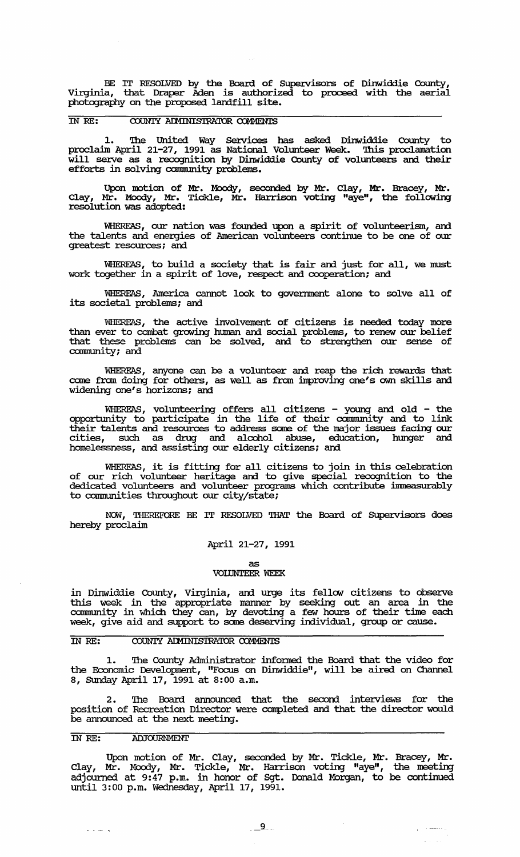BE IT RESOLVED by the Board of SUpervisors of Dinwiddie County, Virginia, that Draper Aden is authorized to proceed with the aerial photography on the proposed landfill site.

### IN RE: COUNTY ADMINISTRATOR COMMENTS

1. The United Way Services has asked Dinwiddie County to proclaim April 21-27, 1991 as National Volunteer Week. '!his proclamation will serve as a recognition by Dinwiddie County of volunteers and their efforts in solving canmmity problems.

Upon motion of Mr. Moody, seconded by Mr. Clay, Mr. Bracey, Mr. Clay, Mr. Moody, Mr. Tickle, Mr. Harrison voting "aye", the following resolution was adopted:

WHEREAS, our nation was founded upon a spirit of volunteerism, and the talents and energies of American volunteers continue to be one of our greatest resources; and

WHEREAS, to build a society that is fair and just for all, we must work together in a spirit of love, respect and cooperation; and

WHEREAS, America cannot look to government alone to solve all of its societal problems; am

WHEREAS, the active involvement of citizens is needed today more than ever to combat growing human and social problems, to renew our belief that these problems can be solved, am to strengthen our sense of community; and

WHEREAS, anyone can be a volunteer and reap the rich rewards that come from doing for others, as well as from improving one's own skills and widening one's horizons; and

WHEREAS, volunteering offers all citizens - young and old - the opportunity to participate in the life of their conununity am to link their talents and resources to address sane of the major issues facing our cities, such as drug and alcohol abuse, education, hunger and homelessness, and assisting our elderly citizens; am

WIIE:RFAS, it is fitting for all citizens to join in this celebration of our rich volunteer heritage and to give special recognition to the dedicated volunteers and volunteer programs which contribute immeasurably to conununities throughout our city/state;

NOW, THEREFORE BE IT RESOLVED THAT the Board of Supervisors does hereby proclaim

#### April 21-27, 1991

as

## VOIIJNTEER WEEK

in Dinwiddie County, Virginia, and urge its fellow citizens to observe this week in the appropriate manner by seeking out an area in the community in which they can, by devoting a few hours of their time each week, give aid and support to sane deserving individual, group or cause.

#### IN RE: COUNTY AININISTRA'IOR COMMENTS

The County Administrator informed the Board that the video for the Economic Development, "Focus on Dinwiddie", will be aired on Channel 8, SUnday April 17, 1991 at 8:00 a.m.

The Board announced that the second interviews for the position of Recreation Director were completed and that the director would be announced at the next meeting.

# IN RE: ADJOURNMENT

 $\omega$  ,  $\omega$  ,  $\omega$ 

Upon motion of Mr. Clay, seconded by Mr. Tickle, Mr. Bracey, Mr. Clay, Mr. Moody, Mr. Tickle, Mr. Harrison voting "aye", the meeting adjourned at 9:47 p.m. in honor of Sgt. Donald Morgan, to be continued until 3:00 p.m. Wednesday, April 17, 1991.

 $\gamma_2$  . The masses of  $\gamma_2$